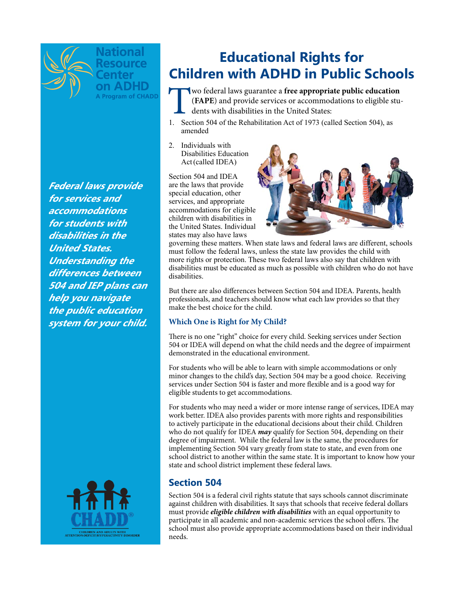

A Program of CHADD

**Federal laws provide for services and accommodations for students with disabilities in the United States. Understanding the differences between 504 and IEP plans can help you navigate the public education system for your child.**



# **Educational Rights for Children with ADHD in Public Schools**

**The UK and Section**<br> **The CHAPE**) and provide services or accommodations to eligible students with disabilities in the United States:<br>
1. Section 504 of the Rehabilitation Act of 1973 (called Section 504), as (**FAPE**) and provide services or accommodations to eligible students with disabilities in the United States:

- 1. Section 504 of the Rehabilitation Act of 1973 (called Section 504), as amended
- 2. Individuals with Disabilities Education Act(called IDEA)

Section 504 and IDEA are the laws that provide special education, other services, and appropriate accommodations for eligible children with disabilities in the United States. Individual states may also have laws



governing these matters. When state laws and federal laws are different, schools must follow the federal laws, unless the state law provides the child with more rights or protection. These two federal laws also say that children with disabilities must be educated as much as possible with children who do not have disabilities.

But there are also diferences between Section 504 and IDEA. Parents, health professionals, and teachers should know what each law provides so that they make the best choice for the child.

### **Which One is Right for My Child?**

There is no one "right" choice for every child. Seeking services under Section 504 or IDEA will depend on what the child needs and the degree of impairment demonstrated in the educational environment.

For students who will be able to learn with simple accommodations or only minor changes to the child's day, Section 504 may be a good choice. Receiving services under Section 504 is faster and more fexible and is a good way for eligible students to get accommodations.

For students who may need a wider or more intense range of services, IDEA may work better. IDEA also provides parents with more rights and responsibilities to actively participate in the educational decisions about their child. Children who do not qualify for IDEA *may* qualify for Section 504, depending on their degree of impairment. While the federal law is the same, the procedures for implementing Section 504 vary greatly from state to state, and even from one school district to another within the same state. It is important to know how your state and school district implement these federal laws.

# **Section 504**

Section 504 is a federal civil rights statute that says schools cannot discriminate against children with disabilities. It says that schools that receive federal dollars must provide *eligible children with disabilities* with an equal opportunity to participate in all academic and non-academic services the school offers. The school must also provide appropriate accommodations based on their individual needs.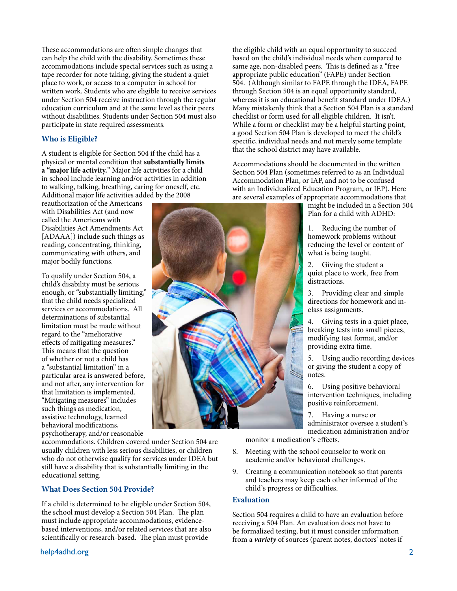These accommodations are often simple changes that can help the child with the disability. Sometimes these accommodations include special services such as using a tape recorder for note taking, giving the student a quiet place to work, or access to a computer in school for written work. Students who are eligible to receive services under Section 504 receive instruction through the regular education curriculum and at the same level as their peers without disabilities. Students under Section 504 must also participate in state required assessments.

#### **Who is Eligible?**

A student is eligible for Section 504 if the child has a physical or mental condition that **substantially limits a "major life activity.**" Major life activities for a child in school include learning and/or activities in addition to walking, talking, breathing, caring for oneself, etc. Additional major life activities added by the 2008

reauthorization of the Americans with Disabilities Act (and now called the Americans with Disabilities Act Amendments Act [ADAAA]) include such things as reading, concentrating, thinking, communicating with others, and major bodily functions.

To qualify under Section 504, a child's disability must be serious enough, or "substantially limiting," that the child needs specialized services or accommodations. All determinations of substantial limitation must be made without regard to the "ameliorative efects of mitigating measures." This means that the question of whether or not a child has a "substantial limitation" in a particular area is answered before, and not afer, any intervention for that limitation is implemented. "Mitigating measures" includes such things as medication, assistive technology, learned behavioral modifcations, psychotherapy, and/or reasonable

accommodations. Children covered under Section 504 are usually children with less serious disabilities, or children who do not otherwise qualify for services under IDEA but still have a disability that is substantially limiting in the educational setting.

#### **What Does Section 504 Provide?**

If a child is determined to be eligible under Section 504, the school must develop a Section 504 Plan. The plan must include appropriate accommodations, evidencebased interventions, and/or related services that are also scientifically or research-based. The plan must provide

the eligible child with an equal opportunity to succeed based on the child's individual needs when compared to same age, non-disabled peers. This is defined as a "free appropriate public education" (FAPE) under Section 504. (Although similar to FAPE through the IDEA, FAPE through Section 504 is an equal opportunity standard, whereas it is an educational benefit standard under IDEA.) Many mistakenly think that a Section 504 Plan is a standard checklist or form used for all eligible children. It isn't. While a form or checklist may be a helpful starting point, a good Section 504 Plan is developed to meet the child's specifc, individual needs and not merely some template that the school district may have available.

Accommodations should be documented in the written Section 504 Plan (sometimes referred to as an Individual Accommodation Plan, or IAP, and not to be confused with an Individualized Education Program, or IEP). Here are several examples of appropriate accommodations that

might be included in a Section 504 Plan for a child with ADHD:

Reducing the number of homework problems without reducing the level or content of what is being taught.

2. Giving the student a quiet place to work, free from distractions.

3. Providing clear and simple directions for homework and inclass assignments.

Giving tests in a quiet place, breaking tests into small pieces, modifying test format, and/or providing extra time.

5. Using audio recording devices or giving the student a copy of notes.

6. Using positive behavioral intervention techniques, including positive reinforcement.

7. Having a nurse or administrator oversee a student's medication administration and/or monitor a medication's effects.

- 8. Meeting with the school counselor to work on academic and/or behavioral challenges.
- 9. Creating a communication notebook so that parents and teachers may keep each other informed of the child's progress or diffculties.

#### **Evaluation**

Section 504 requires a child to have an evaluation before receiving a 504 Plan. An evaluation does not have to be formalized testing, but it must consider information from a *variety* of sources (parent notes, doctors' notes if

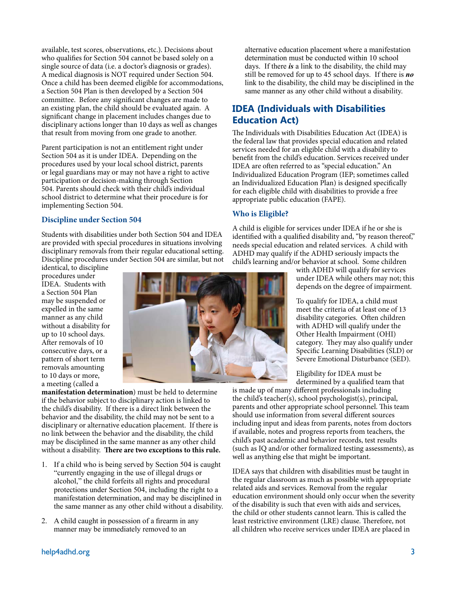available, test scores, observations, etc.). Decisions about who qualifes for Section 504 cannot be based solely on a single source of data (i.e. a doctor's diagnosis or grades). A medical diagnosis is NOT required under Section 504. Once a child has been deemed eligible for accommodations, a Section 504 Plan is then developed by a Section 504 committee. Before any signifcant changes are made to an existing plan, the child should be evaluated again. A signifcant change in placement includes changes due to disciplinary actions longer than 10 days as well as changes that result from moving from one grade to another.

Parent participation is not an entitlement right under Section 504 as it is under IDEA. Depending on the procedures used by your local school district, parents or legal guardians may or may not have a right to active participation or decision-making through Section 504. Parents should check with their child's individual school district to determine what their procedure is for implementing Section 504.

#### **Discipline under Section 504**

Students with disabilities under both Section 504 and IDEA are provided with special procedures in situations involving disciplinary removals from their regular educational setting. Discipline procedures under Section 504 are similar, but not

identical, to discipline procedures under IDEA. Students with a Section 504 Plan may be suspended or expelled in the same manner as any child without a disability for up to 10 school days. Afer removals of 10 consecutive days, or a pattern of short term removals amounting to 10 days or more, a meeting (called a



**manifestation determination**) must be held to determine if the behavior subject to disciplinary action is linked to the child's disability. If there is a direct link between the behavior and the disability, the child may not be sent to a disciplinary or alternative education placement. If there is no link between the behavior and the disability, the child may be disciplined in the same manner as any other child without a disability. There are two exceptions to this rule.

- 1. If a child who is being served by Section 504 is caught "currently engaging in the use of illegal drugs or alcohol," the child forfeits all rights and procedural protections under Section 504, including the right to a manifestation determination, and may be disciplined in the same manner as any other child without a disability.
- 2. A child caught in possession of a frearm in any manner may be immediately removed to an

alternative education placement where a manifestation determination must be conducted within 10 school days. If there *is* a link to the disability, the child may still be removed for up to 45 school days. If there is *no* link to the disability, the child may be disciplined in the same manner as any other child without a disability.

# **IDEA (Individuals with Disabilities Education Act)**

The Individuals with Disabilities Education Act (IDEA) is the federal law that provides special education and related services needed for an eligible child with a disability to beneft from the child's education. Services received under IDEA are often referred to as "special education." An Individualized Education Program (IEP; sometimes called an Individualized Education Plan) is designed specifcally for each eligible child with disabilities to provide a free appropriate public education (FAPE).

#### **Who is Eligible?**

A child is eligible for services under IDEA if he or she is identified with a qualified disability and, "by reason thereof," needs special education and related services. A child with ADHD may qualify if the ADHD seriously impacts the child's learning and/or behavior at school. Some children

with ADHD will qualify for services under IDEA while others may not; this depends on the degree of impairment.

To qualify for IDEA, a child must meet the criteria of at least one of 13 disability categories. Often children with ADHD will qualify under the Other Health Impairment (OHI) category. They may also qualify under Specifc Learning Disabilities (SLD) or Severe Emotional Disturbance (SED).

Eligibility for IDEA must be determined by a qualifed team that

is made up of many diferent professionals including the child's teacher(s), school psychologist(s), principal, parents and other appropriate school personnel. This team should use information from several diferent sources including input and ideas from parents, notes from doctors if available, notes and progress reports from teachers, the child's past academic and behavior records, test results (such as IQ and/or other formalized testing assessments), as well as anything else that might be important.

IDEA says that children with disabilities must be taught in the regular classroom as much as possible with appropriate related aids and services. Removal from the regular education environment should only occur when the severity of the disability is such that even with aids and services, the child or other students cannot learn. This is called the least restrictive environment (LRE) clause. Therefore, not all children who receive services under IDEA are placed in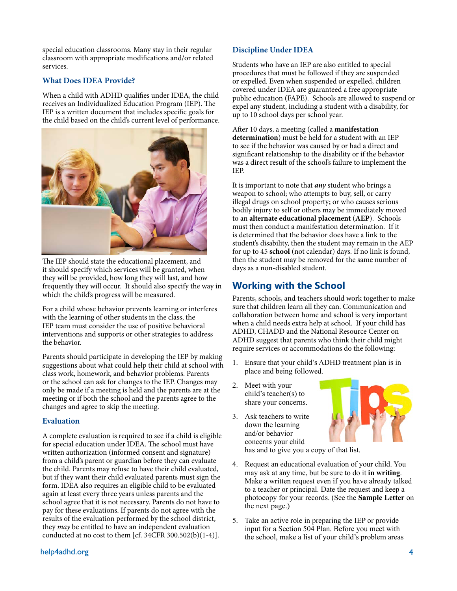special education classrooms. Many stay in their regular classroom with appropriate modifcations and/or related services.

#### **What Does IDEA Provide?**

When a child with ADHD qualifes under IDEA, the child receives an Individualized Education Program (IEP). The IEP is a written document that includes specifc goals for the child based on the child's current level of performance.



The IEP should state the educational placement, and it should specify which services will be granted, when they will be provided, how long they will last, and how frequently they will occur. It should also specify the way in which the child's progress will be measured.

For a child whose behavior prevents learning or interferes with the learning of other students in the class, the IEP team must consider the use of positive behavioral interventions and supports or other strategies to address the behavior.

Parents should participate in developing the IEP by making suggestions about what could help their child at school with class work, homework, and behavior problems. Parents or the school can ask for changes to the IEP. Changes may only be made if a meeting is held and the parents are at the meeting or if both the school and the parents agree to the changes and agree to skip the meeting.

#### **Evaluation**

A complete evaluation is required to see if a child is eligible for special education under IDEA. The school must have written authorization (informed consent and signature) from a child's parent or guardian before they can evaluate the child. Parents may refuse to have their child evaluated, but if they want their child evaluated parents must sign the form. IDEA also requires an eligible child to be evaluated again at least every three years unless parents and the school agree that it is not necessary. Parents do not have to pay for these evaluations. If parents do not agree with the results of the evaluation performed by the school district, they *may* be entitled to have an independent evaluation conducted at no cost to them [cf. 34CFR 300.502(b) $(1-4)$ ].

## **Discipline Under IDEA**

Students who have an IEP are also entitled to special procedures that must be followed if they are suspended or expelled. Even when suspended or expelled, children covered under IDEA are guaranteed a free appropriate public education (FAPE). Schools are allowed to suspend or expel any student, including a student with a disability, for up to 10 school days per school year.

Afer 10 days, a meeting (called a **manifestation determination**) must be held for a student with an IEP to see if the behavior was caused by or had a direct and signifcant relationship to the disability or if the behavior was a direct result of the school's failure to implement the IEP.

It is important to note that *any* student who brings a weapon to school; who attempts to buy, sell, or carry illegal drugs on school property; or who causes serious bodily injury to self or others may be immediately moved to an **alternate educational placement** (**AEP**). Schools must then conduct a manifestation determination. If it is determined that the behavior does have a link to the student's disability, then the student may remain in the AEP for up to 45 **school** (not calendar) days. If no link is found, then the student may be removed for the same number of days as a non-disabled student.

## **Working with the School**

Parents, schools, and teachers should work together to make sure that children learn all they can. Communication and collaboration between home and school is very important when a child needs extra help at school. If your child has ADHD, CHADD and the National Resource Center on ADHD suggest that parents who think their child might require services or accommodations do the following:

- 1. Ensure that your child's ADHD treatment plan is in place and being followed.
- 2. Meet with your child's teacher(s) to share your concerns.
- 3. Ask teachers to write down the learning and/or behavior concerns your child



has and to give you a copy of that list.

- 4. Request an educational evaluation of your child. You may ask at any time, but be sure to do it **in writing**. Make a written request even if you have already talked to a teacher or principal. Date the request and keep a photocopy for your records. (See the **Sample Letter** on the next page.)
- 5. Take an active role in preparing the IEP or provide input for a Section 504 Plan. Before you meet with the school, make a list of your child's problem areas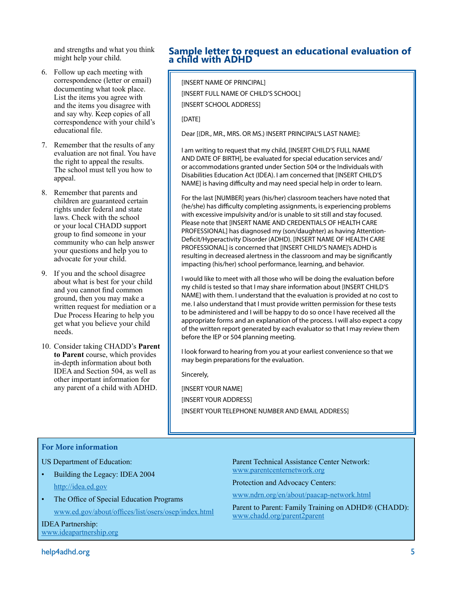and strengths and what you think might help your child.

- 6. Follow up each meeting with correspondence (letter or email) documenting what took place. List the items you agree with and the items you disagree with and say why. Keep copies of all correspondence with your child's educational fle.
- 7. Remember that the results of any evaluation are not fnal. You have the right to appeal the results. The school must tell you how to appeal.
- 8. Remember that parents and children are guaranteed certain rights under federal and state laws. Check with the school or your local CHADD support group to fnd someone in your community who can help answer your questions and help you to advocate for your child.
- 9. If you and the school disagree about what is best for your child and you cannot fnd common ground, then you may make a written request for mediation or a Due Process Hearing to help you get what you believe your child needs.
- 10. Consider taking CHADD's **Parent to Parent** course, which provides in-depth information about both IDEA and Section 504, as well as other important information for any parent of a child with ADHD.

## **Sample letter to request an educational evaluation of a child with ADHD**

[INSERT NAME OF PRINCIPAL] [INSERT FULL NAME OF CHILD'S SCHOOL] [INSERT SCHOOL ADDRESS]

[DATE]

Dear [(DR., MR., MRS. OR MS.) INSERT PRINCIPAL'S LAST NAME]:

I am writing to request that my child, [INSERT CHILD'S FULL NAME AND DATE OF BIRTH], be evaluated for special education services and/ or accommodations granted under Section 504 or the Individuals with Disabilities Education Act (IDEA). I am concerned that [INSERT CHILD'S NAME] is having difficulty and may need special help in order to learn.

For the last [NUMBER] years (his/her) classroom teachers have noted that (he/she) has difficulty completing assignments, is experiencing problems with excessive impulsivity and/or is unable to sit still and stay focused. Please note that [INSERT NAME AND CREDENTIALS OF HEALTH CARE PROFESSIONAL] has diagnosed my (son/daughter) as having Attention-Defcit/Hyperactivity Disorder (ADHD). [INSERT NAME OF HEALTH CARE PROFESSIONAL] is concerned that [INSERT CHILD'S NAME]'s ADHD is resulting in decreased alertness in the classroom and may be signifcantly impacting (his/her) school performance, learning, and behavior.

I would like to meet with all those who will be doing the evaluation before my child is tested so that I may share information about [INSERT CHILD'S NAME] with them. I understand that the evaluation is provided at no cost to me. I also understand that I must provide written permission for these tests to be administered and I will be happy to do so once I have received all the appropriate forms and an explanation of the process. I will also expect a copy of the written report generated by each evaluator so that I may review them before the IEP or 504 planning meeting.

I look forward to hearing from you at your earliest convenience so that we may begin preparations for the evaluation.

Sincerely,

[INSERT YOUR NAME] [INSERT YOUR ADDRESS] [INSERT YOUR TELEPHONE NUMBER AND EMAIL ADDRESS]

#### **For More information**

US Department of Education:

- Building the Legacy: IDEA 2004 <http://idea.ed.gov>
- The Office of Special Education Programs www.ed.gov/about/offices/list/osers/osep/index.html

IDEA Partnership: [www.ideapartnership.org](http://www.ideapartnership.org) Parent Technical Assistance Center Network: [www.parentcenternetwork.org](http://www.parentcenternetwork.org)

Protection and Advocacy Centers:

[www.ndrn.org/en/about/paacap-network.html](http://www.ndrn.org/en/about/paacap-network.html)

Parent to Parent: Family Training on ADHD® (CHADD): [www.chadd.org/parent2parent](http://www.chadd.org/parent2parent)

help4adhd.org 5